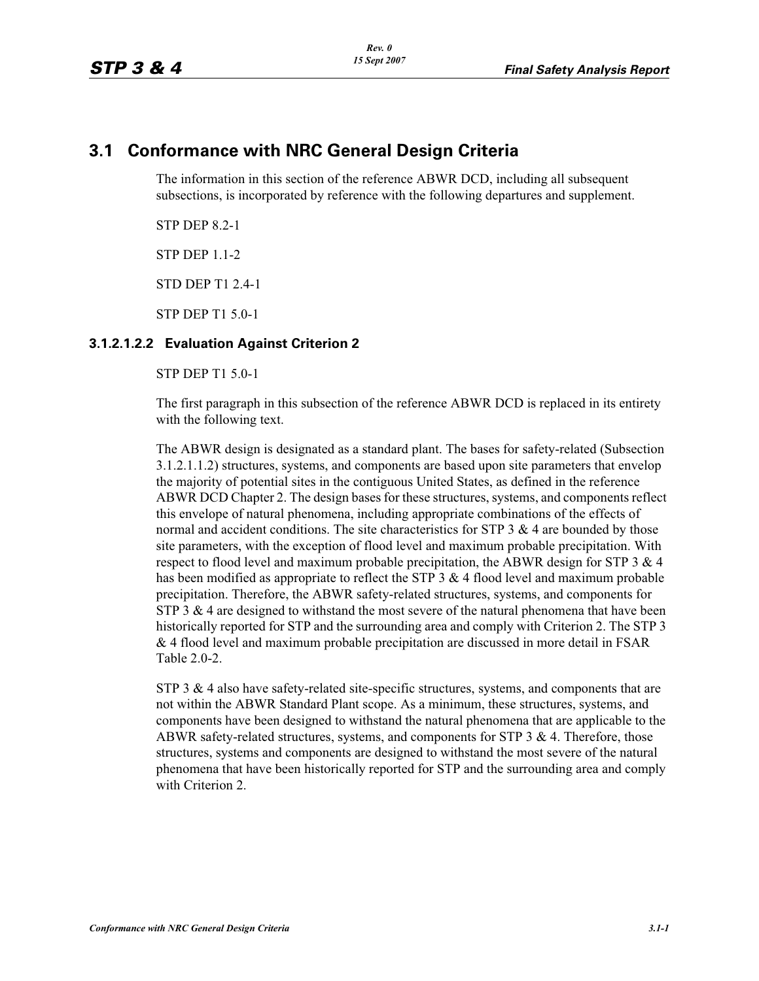# **3.1 Conformance with NRC General Design Criteria**

The information in this section of the reference ABWR DCD, including all subsequent subsections, is incorporated by reference with the following departures and supplement.

STP DEP 8.2-1

STP DEP 1.1-2

STD DEP T1 2.4-1

STP DEP T1 5.0-1

### **3.1.2.1.2.2 Evaluation Against Criterion 2**

STP DEP T1 5.0-1

The first paragraph in this subsection of the reference ABWR DCD is replaced in its entirety with the following text.

The ABWR design is designated as a standard plant. The bases for safety-related (Subsection 3.1.2.1.1.2) structures, systems, and components are based upon site parameters that envelop the majority of potential sites in the contiguous United States, as defined in the reference ABWR DCD Chapter 2. The design bases for these structures, systems, and components reflect this envelope of natural phenomena, including appropriate combinations of the effects of normal and accident conditions. The site characteristics for STP 3  $\&$  4 are bounded by those site parameters, with the exception of flood level and maximum probable precipitation. With respect to flood level and maximum probable precipitation, the ABWR design for STP 3  $\&$  4 has been modified as appropriate to reflect the STP  $3 \& 4$  flood level and maximum probable precipitation. Therefore, the ABWR safety-related structures, systems, and components for STP 3  $\&$  4 are designed to withstand the most severe of the natural phenomena that have been historically reported for STP and the surrounding area and comply with Criterion 2. The STP 3 & 4 flood level and maximum probable precipitation are discussed in more detail in FSAR Table 2.0-2.

STP 3  $\&$  4 also have safety-related site-specific structures, systems, and components that are not within the ABWR Standard Plant scope. As a minimum, these structures, systems, and components have been designed to withstand the natural phenomena that are applicable to the ABWR safety-related structures, systems, and components for STP  $3 \& 4$ . Therefore, those structures, systems and components are designed to withstand the most severe of the natural phenomena that have been historically reported for STP and the surrounding area and comply with Criterion 2.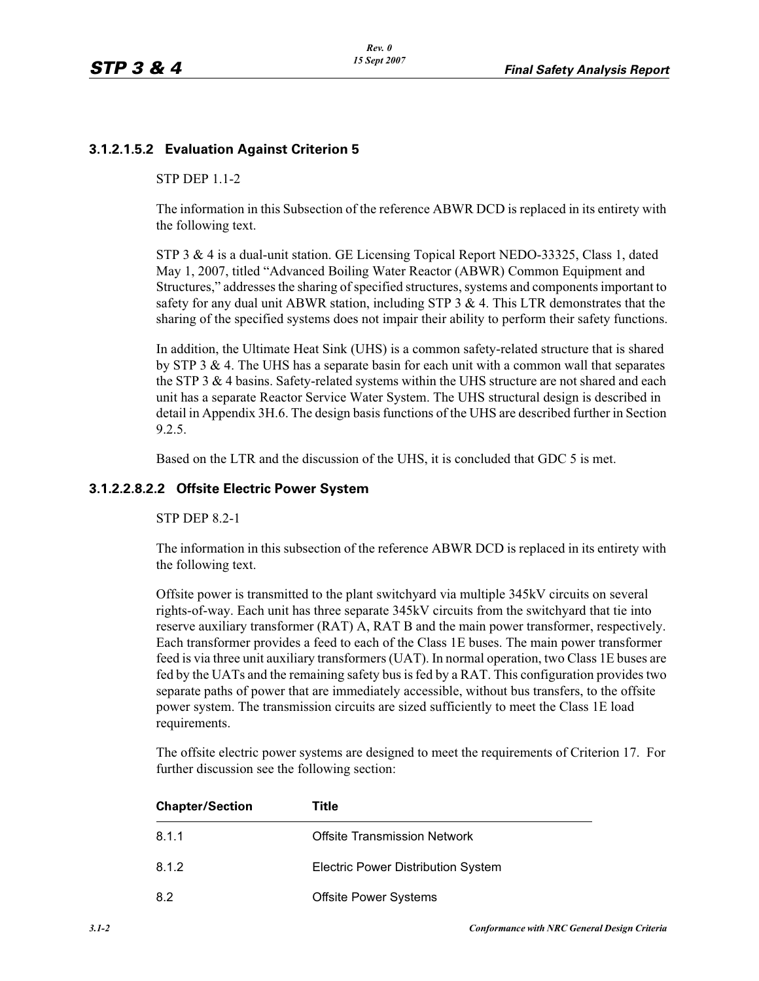## **3.1.2.1.5.2 Evaluation Against Criterion 5**

#### STP DEP 1.1-2

The information in this Subsection of the reference ABWR DCD is replaced in its entirety with the following text.

STP 3 & 4 is a dual-unit station. GE Licensing Topical Report NEDO-33325, Class 1, dated May 1, 2007, titled "Advanced Boiling Water Reactor (ABWR) Common Equipment and Structures," addresses the sharing of specified structures, systems and components important to safety for any dual unit ABWR station, including STP  $3 \& 4$ . This LTR demonstrates that the sharing of the specified systems does not impair their ability to perform their safety functions.

In addition, the Ultimate Heat Sink (UHS) is a common safety-related structure that is shared by STP 3 & 4. The UHS has a separate basin for each unit with a common wall that separates the STP 3 & 4 basins. Safety-related systems within the UHS structure are not shared and each unit has a separate Reactor Service Water System. The UHS structural design is described in detail in Appendix 3H.6. The design basis functions of the UHS are described further in Section 9.2.5.

Based on the LTR and the discussion of the UHS, it is concluded that GDC 5 is met.

#### **3.1.2.2.8.2.2 Offsite Electric Power System**

#### STP DEP 8.2-1

The information in this subsection of the reference ABWR DCD is replaced in its entirety with the following text.

Offsite power is transmitted to the plant switchyard via multiple 345kV circuits on several rights-of-way. Each unit has three separate 345kV circuits from the switchyard that tie into reserve auxiliary transformer (RAT) A, RAT B and the main power transformer, respectively. Each transformer provides a feed to each of the Class 1E buses. The main power transformer feed is via three unit auxiliary transformers (UAT). In normal operation, two Class 1E buses are fed by the UATs and the remaining safety bus is fed by a RAT. This configuration provides two separate paths of power that are immediately accessible, without bus transfers, to the offsite power system. The transmission circuits are sized sufficiently to meet the Class 1E load requirements.

The offsite electric power systems are designed to meet the requirements of Criterion 17. For further discussion see the following section:

| <b>Chapter/Section</b> | Title                                     |
|------------------------|-------------------------------------------|
| 8.1.1                  | <b>Offsite Transmission Network</b>       |
| 8.1.2                  | <b>Electric Power Distribution System</b> |
| 8.2                    | <b>Offsite Power Systems</b>              |